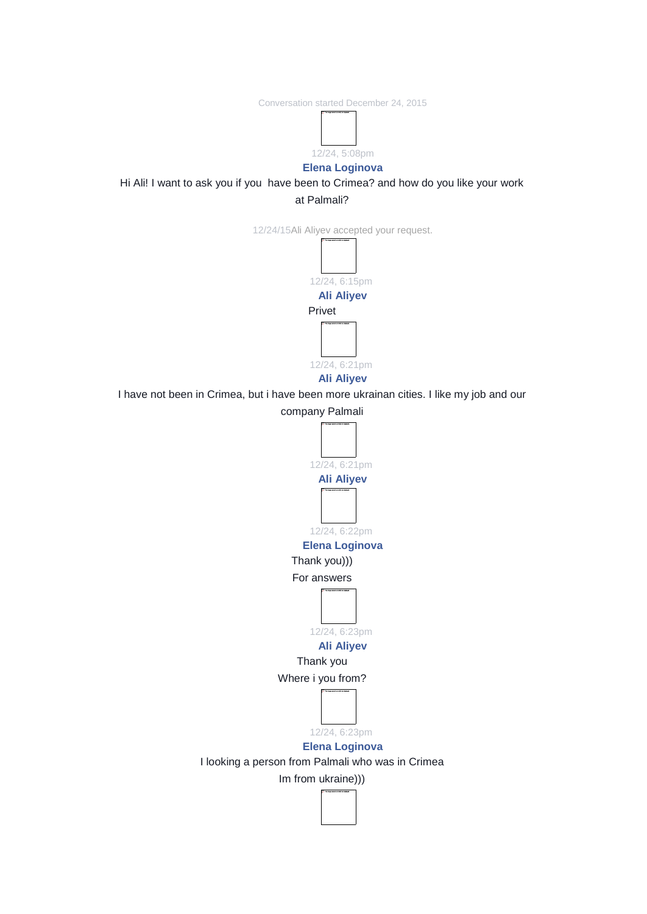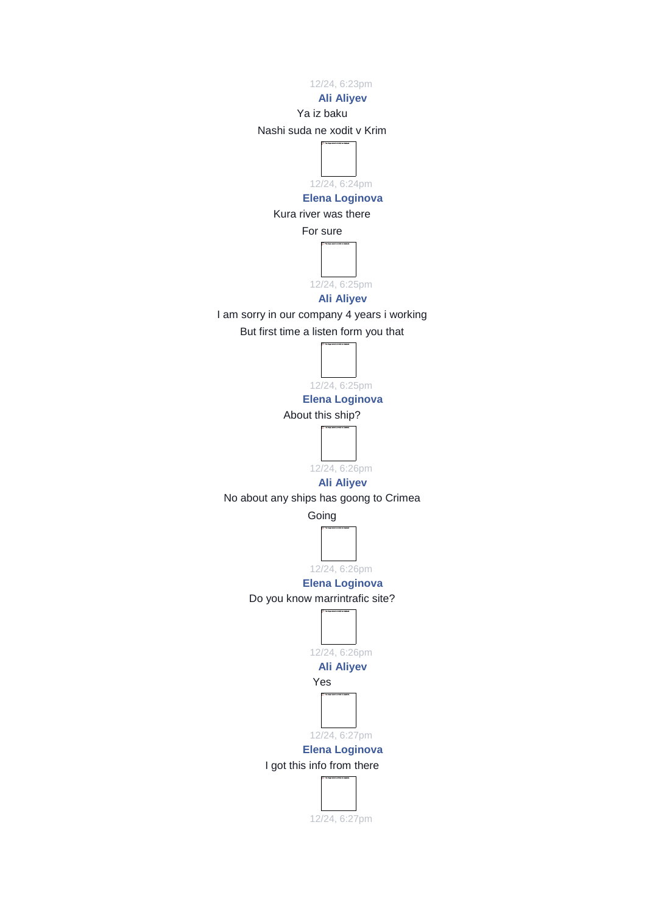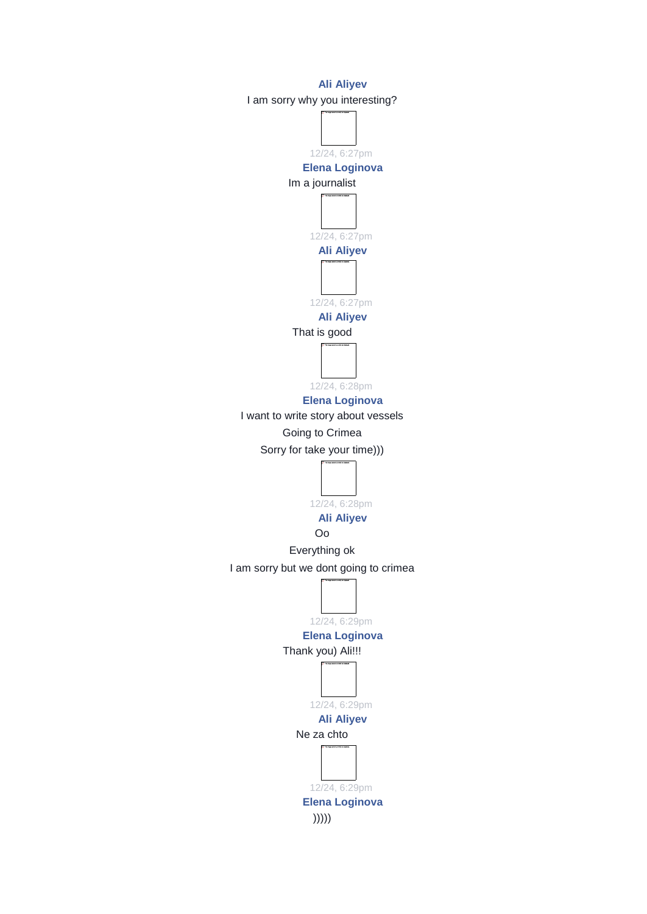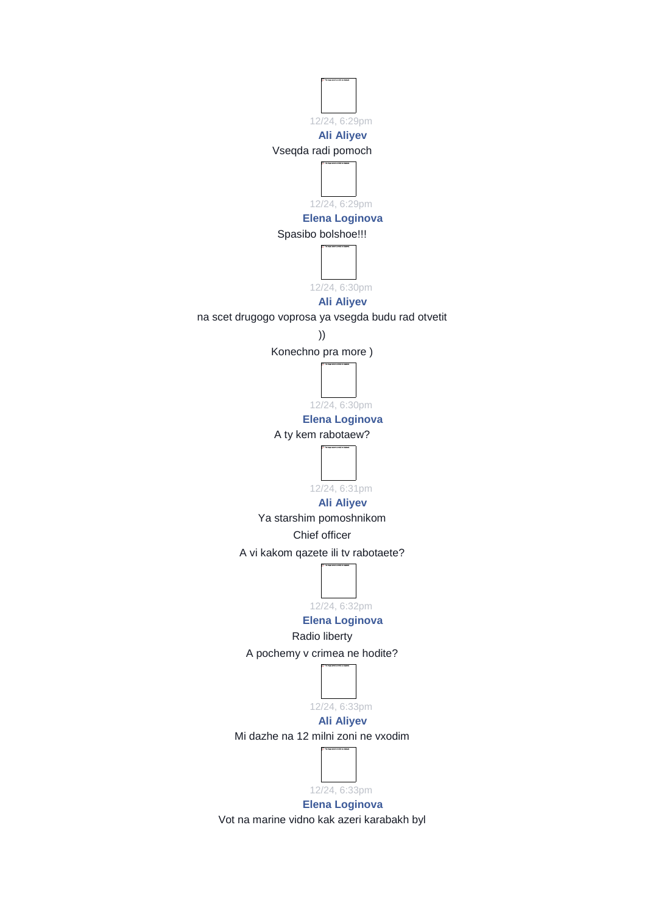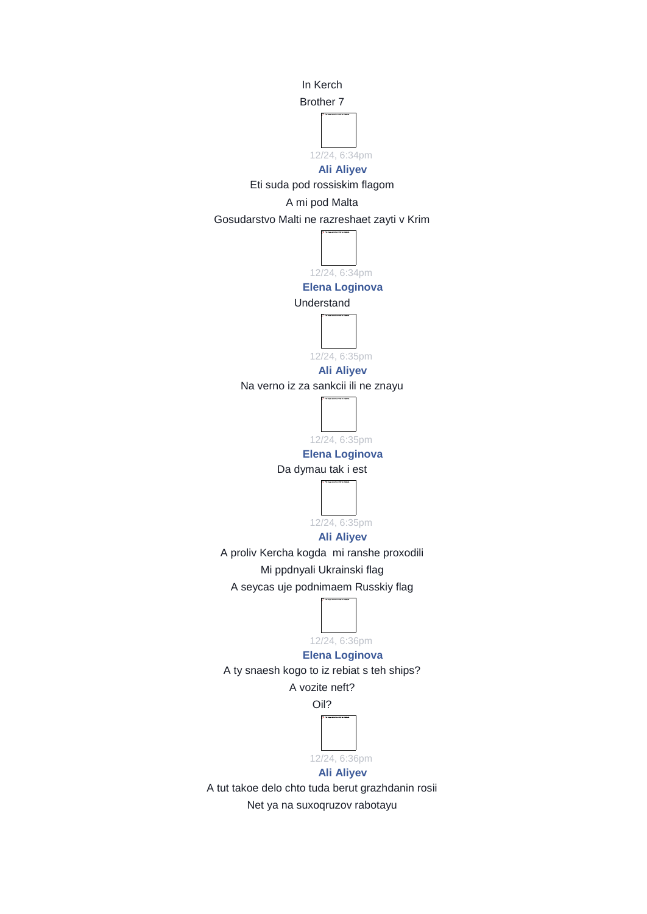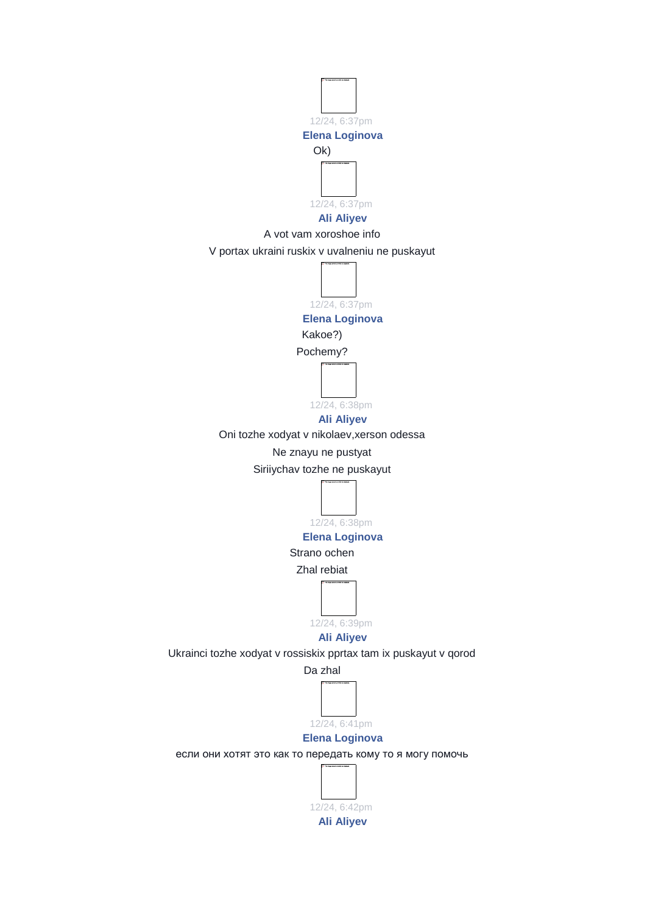